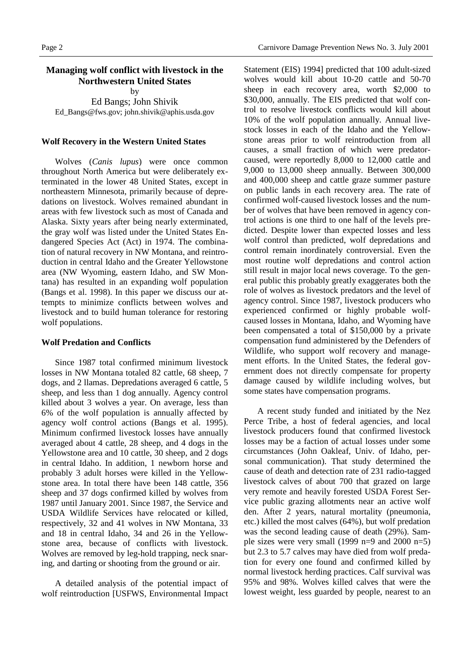# **Managing wolf conflict with livestock in the Northwestern United States**

by

Ed Bangs; John Shivik Ed\_Bangs@fws.gov; john.shivik@aphis.usda.gov

#### **Wolf Recovery in the Western United States**

Wolves (*Canis lupus*) were once common throughout North America but were deliberately exterminated in the lower 48 United States, except in northeastern Minnesota, primarily because of depredations on livestock. Wolves remained abundant in areas with few livestock such as most of Canada and Alaska. Sixty years after being nearly exterminated, the gray wolf was listed under the United States Endangered Species Act (Act) in 1974. The combination of natural recovery in NW Montana, and reintroduction in central Idaho and the Greater Yellowstone area (NW Wyoming, eastern Idaho, and SW Montana) has resulted in an expanding wolf population (Bangs et al. 1998). In this paper we discuss our attempts to minimize conflicts between wolves and livestock and to build human tolerance for restoring wolf populations.

#### **Wolf Predation and Conflicts**

Since 1987 total confirmed minimum livestock losses in NW Montana totaled 82 cattle, 68 sheep, 7 dogs, and 2 llamas. Depredations averaged 6 cattle, 5 sheep, and less than 1 dog annually. Agency control killed about 3 wolves a year. On average, less than 6% of the wolf population is annually affected by agency wolf control actions (Bangs et al. 1995). Minimum confirmed livestock losses have annually averaged about 4 cattle, 28 sheep, and 4 dogs in the Yellowstone area and 10 cattle, 30 sheep, and 2 dogs in central Idaho. In addition, 1 newborn horse and probably 3 adult horses were killed in the Yellowstone area. In total there have been 148 cattle, 356 sheep and 37 dogs confirmed killed by wolves from 1987 until January 2001. Since 1987, the Service and USDA Wildlife Services have relocated or killed, respectively, 32 and 41 wolves in NW Montana, 33 and 18 in central Idaho, 34 and 26 in the Yellowstone area, because of conflicts with livestock. Wolves are removed by leg-hold trapping, neck snaring, and darting or shooting from the ground or air.

A detailed analysis of the potential impact of wolf reintroduction [USFWS, Environmental Impact

Statement (EIS) 1994] predicted that 100 adult-sized wolves would kill about 10-20 cattle and 50-70 sheep in each recovery area, worth \$2,000 to \$30,000, annually. The EIS predicted that wolf control to resolve livestock conflicts would kill about 10% of the wolf population annually. Annual livestock losses in each of the Idaho and the Yellowstone areas prior to wolf reintroduction from all causes, a small fraction of which were predatorcaused, were reportedly 8,000 to 12,000 cattle and 9,000 to 13,000 sheep annually. Between 300,000 and 400,000 sheep and cattle graze summer pasture on public lands in each recovery area. The rate of confirmed wolf-caused livestock losses and the number of wolves that have been removed in agency control actions is one third to one half of the levels predicted. Despite lower than expected losses and less wolf control than predicted, wolf depredations and control remain inordinately controversial. Even the most routine wolf depredations and control action still result in major local news coverage. To the general public this probably greatly exaggerates both the role of wolves as livestock predators and the level of agency control. Since 1987, livestock producers who experienced confirmed or highly probable wolfcaused losses in Montana, Idaho, and Wyoming have been compensated a total of \$150,000 by a private compensation fund administered by the Defenders of Wildlife, who support wolf recovery and management efforts. In the United States, the federal government does not directly compensate for property damage caused by wildlife including wolves, but some states have compensation programs.

A recent study funded and initiated by the Nez Perce Tribe, a host of federal agencies, and local livestock producers found that confirmed livestock losses may be a faction of actual losses under some circumstances (John Oakleaf, Univ. of Idaho, personal communication). That study determined the cause of death and detection rate of 231 radio-tagged livestock calves of about 700 that grazed on large very remote and heavily forested USDA Forest Service public grazing allotments near an active wolf den. After 2 years, natural mortality (pneumonia, etc.) killed the most calves (64%), but wolf predation was the second leading cause of death (29%). Sample sizes were very small (1999 n=9 and 2000 n=5) but 2.3 to 5.7 calves may have died from wolf predation for every one found and confirmed killed by normal livestock herding practices. Calf survival was 95% and 98%. Wolves killed calves that were the lowest weight, less guarded by people, nearest to an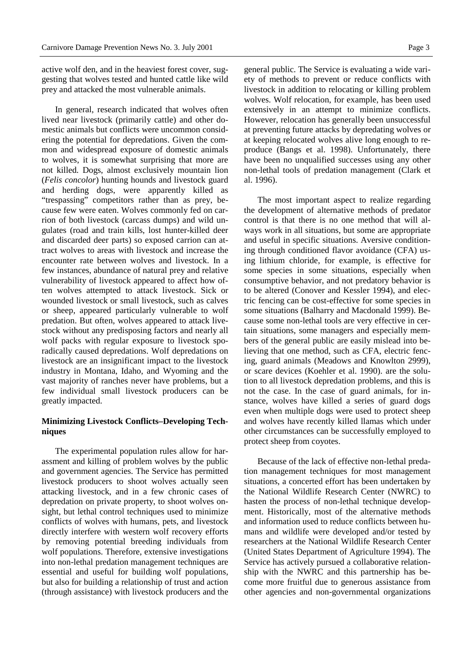active wolf den, and in the heaviest forest cover, suggesting that wolves tested and hunted cattle like wild prey and attacked the most vulnerable animals.

In general, research indicated that wolves often lived near livestock (primarily cattle) and other domestic animals but conflicts were uncommon considering the potential for depredations. Given the common and widespread exposure of domestic animals to wolves, it is somewhat surprising that more are not killed. Dogs, almost exclusively mountain lion (*Felis concolor*) hunting hounds and livestock guard and herding dogs, were apparently killed as "trespassing" competitors rather than as prey, because few were eaten. Wolves commonly fed on carrion of both livestock (carcass dumps) and wild ungulates (road and train kills, lost hunter-killed deer and discarded deer parts) so exposed carrion can attract wolves to areas with livestock and increase the encounter rate between wolves and livestock. In a few instances, abundance of natural prey and relative vulnerability of livestock appeared to affect how often wolves attempted to attack livestock. Sick or wounded livestock or small livestock, such as calves or sheep, appeared particularly vulnerable to wolf predation. But often, wolves appeared to attack livestock without any predisposing factors and nearly all wolf packs with regular exposure to livestock sporadically caused depredations. Wolf depredations on livestock are an insignificant impact to the livestock industry in Montana, Idaho, and Wyoming and the vast majority of ranches never have problems, but a few individual small livestock producers can be greatly impacted.

# **Minimizing Livestock Conflicts–Developing Techniques**

The experimental population rules allow for harassment and killing of problem wolves by the public and government agencies. The Service has permitted livestock producers to shoot wolves actually seen attacking livestock, and in a few chronic cases of depredation on private property, to shoot wolves onsight, but lethal control techniques used to minimize conflicts of wolves with humans, pets, and livestock directly interfere with western wolf recovery efforts by removing potential breeding individuals from wolf populations. Therefore, extensive investigations into non-lethal predation management techniques are essential and useful for building wolf populations, but also for building a relationship of trust and action (through assistance) with livestock producers and the

general public. The Service is evaluating a wide variety of methods to prevent or reduce conflicts with livestock in addition to relocating or killing problem wolves. Wolf relocation, for example, has been used extensively in an attempt to minimize conflicts. However, relocation has generally been unsuccessful at preventing future attacks by depredating wolves or at keeping relocated wolves alive long enough to reproduce (Bangs et al. 1998). Unfortunately, there have been no unqualified successes using any other non-lethal tools of predation management (Clark et al. 1996).

The most important aspect to realize regarding the development of alternative methods of predator control is that there is no one method that will always work in all situations, but some are appropriate and useful in specific situations. Aversive conditioning through conditioned flavor avoidance (CFA) using lithium chloride, for example, is effective for some species in some situations, especially when consumptive behavior, and not predatory behavior is to be altered (Conover and Kessler 1994), and electric fencing can be cost-effective for some species in some situations (Balharry and Macdonald 1999). Because some non-lethal tools are very effective in certain situations, some managers and especially members of the general public are easily mislead into believing that one method, such as CFA, electric fencing, guard animals (Meadows and Knowlton 2999), or scare devices (Koehler et al. 1990). are the solution to all livestock depredation problems, and this is not the case. In the case of guard animals, for instance, wolves have killed a series of guard dogs even when multiple dogs were used to protect sheep and wolves have recently killed llamas which under other circumstances can be successfully employed to protect sheep from coyotes.

Because of the lack of effective non-lethal predation management techniques for most management situations, a concerted effort has been undertaken by the National Wildlife Research Center (NWRC) to hasten the process of non-lethal technique development. Historically, most of the alternative methods and information used to reduce conflicts between humans and wildlife were developed and/or tested by researchers at the National Wildlife Research Center (United States Department of Agriculture 1994). The Service has actively pursued a collaborative relationship with the NWRC and this partnership has become more fruitful due to generous assistance from other agencies and non-governmental organizations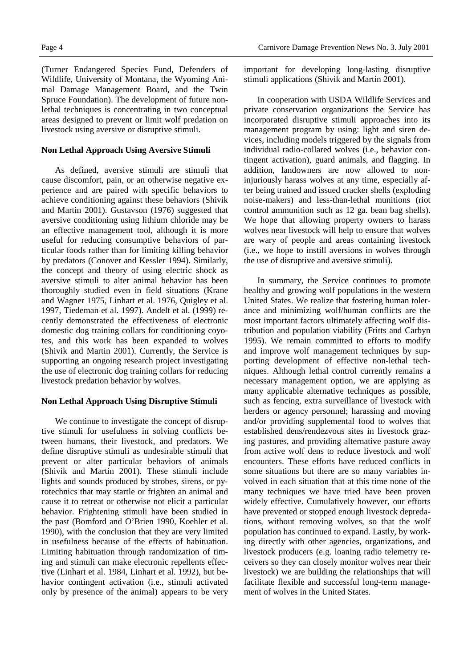(Turner Endangered Species Fund, Defenders of Wildlife, University of Montana, the Wyoming Animal Damage Management Board, and the Twin Spruce Foundation). The development of future nonlethal techniques is concentrating in two conceptual areas designed to prevent or limit wolf predation on livestock using aversive or disruptive stimuli.

### **Non Lethal Approach Using Aversive Stimuli**

As defined, aversive stimuli are stimuli that cause discomfort, pain, or an otherwise negative experience and are paired with specific behaviors to achieve conditioning against these behaviors (Shivik and Martin 2001). Gustavson (1976) suggested that aversive conditioning using lithium chloride may be an effective management tool, although it is more useful for reducing consumptive behaviors of particular foods rather than for limiting killing behavior by predators (Conover and Kessler 1994). Similarly, the concept and theory of using electric shock as aversive stimuli to alter animal behavior has been thoroughly studied even in field situations (Krane and Wagner 1975, Linhart et al. 1976, Quigley et al. 1997, Tiedeman et al. 1997). Andelt et al. (1999) recently demonstrated the effectiveness of electronic domestic dog training collars for conditioning coyotes, and this work has been expanded to wolves (Shivik and Martin 2001). Currently, the Service is supporting an ongoing research project investigating the use of electronic dog training collars for reducing livestock predation behavior by wolves.

# **Non Lethal Approach Using Disruptive Stimuli**

We continue to investigate the concept of disruptive stimuli for usefulness in solving conflicts between humans, their livestock, and predators. We define disruptive stimuli as undesirable stimuli that prevent or alter particular behaviors of animals (Shivik and Martin 2001). These stimuli include lights and sounds produced by strobes, sirens, or pyrotechnics that may startle or frighten an animal and cause it to retreat or otherwise not elicit a particular behavior. Frightening stimuli have been studied in the past (Bomford and O'Brien 1990, Koehler et al. 1990), with the conclusion that they are very limited in usefulness because of the effects of habituation. Limiting habituation through randomization of timing and stimuli can make electronic repellents effective (Linhart et al. 1984, Linhart et al. 1992), but behavior contingent activation (i.e., stimuli activated only by presence of the animal) appears to be very

important for developing long-lasting disruptive stimuli applications (Shivik and Martin 2001).

In cooperation with USDA Wildlife Services and private conservation organizations the Service has incorporated disruptive stimuli approaches into its management program by using: light and siren devices, including models triggered by the signals from individual radio-collared wolves (i.e., behavior contingent activation), guard animals, and flagging. In addition, landowners are now allowed to noninjuriously harass wolves at any time, especially after being trained and issued cracker shells (exploding noise-makers) and less-than-lethal munitions (riot control ammunition such as 12 ga. bean bag shells). We hope that allowing property owners to harass wolves near livestock will help to ensure that wolves are wary of people and areas containing livestock (i.e., we hope to instill aversions in wolves through the use of disruptive and aversive stimuli).

In summary, the Service continues to promote healthy and growing wolf populations in the western United States. We realize that fostering human tolerance and minimizing wolf/human conflicts are the most important factors ultimately affecting wolf distribution and population viability (Fritts and Carbyn 1995). We remain committed to efforts to modify and improve wolf management techniques by supporting development of effective non-lethal techniques. Although lethal control currently remains a necessary management option, we are applying as many applicable alternative techniques as possible, such as fencing, extra surveillance of livestock with herders or agency personnel; harassing and moving and/or providing supplemental food to wolves that established dens/rendezvous sites in livestock grazing pastures, and providing alternative pasture away from active wolf dens to reduce livestock and wolf encounters. These efforts have reduced conflicts in some situations but there are so many variables involved in each situation that at this time none of the many techniques we have tried have been proven widely effective. Cumulatively however, our efforts have prevented or stopped enough livestock depredations, without removing wolves, so that the wolf population has continued to expand. Lastly, by working directly with other agencies, organizations, and livestock producers (e.g. loaning radio telemetry receivers so they can closely monitor wolves near their livestock) we are building the relationships that will facilitate flexible and successful long-term management of wolves in the United States.